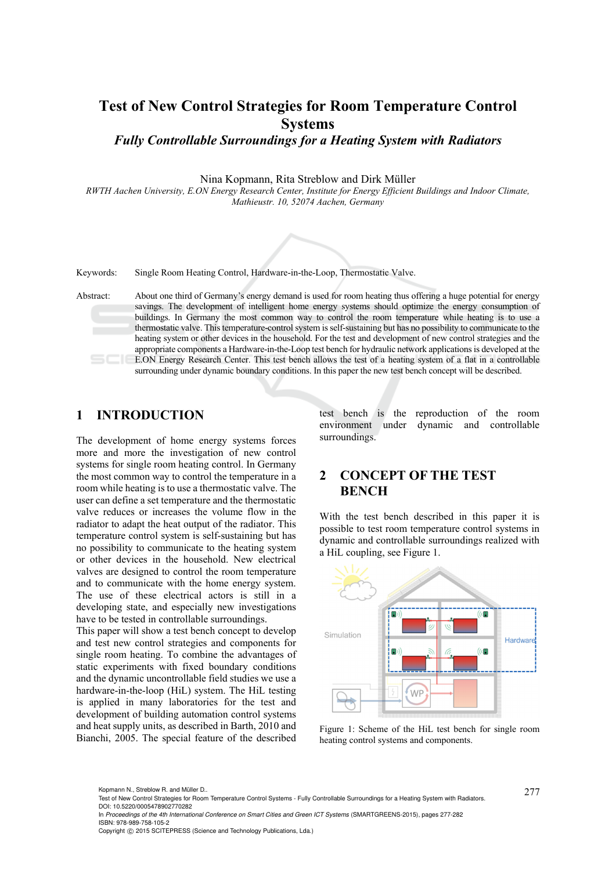# **Test of New Control Strategies for Room Temperature Control Systems**

*Fully Controllable Surroundings for a Heating System with Radiators* 

Nina Kopmann, Rita Streblow and Dirk Müller

*RWTH Aachen University, E.ON Energy Research Center, Institute for Energy Efficient Buildings and Indoor Climate, Mathieustr. 10, 52074 Aachen, Germany* 



Keywords: Single Room Heating Control, Hardware-in-the-Loop, Thermostatic Valve.

Abstract: About one third of Germany's energy demand is used for room heating thus offering a huge potential for energy savings. The development of intelligent home energy systems should optimize the energy consumption of buildings. In Germany the most common way to control the room temperature while heating is to use a thermostatic valve. This temperature-control system is self-sustaining but has no possibility to communicate to the heating system or other devices in the household. For the test and development of new control strategies and the appropriate components a Hardware-in-the-Loop test bench for hydraulic network applications is developed at the E.ON Energy Research Center. This test bench allows the test of a heating system of a flat in a controllable surrounding under dynamic boundary conditions. In this paper the new test bench concept will be described.

## **1 INTRODUCTION**

The development of home energy systems forces more and more the investigation of new control systems for single room heating control. In Germany the most common way to control the temperature in a room while heating is to use a thermostatic valve. The user can define a set temperature and the thermostatic valve reduces or increases the volume flow in the radiator to adapt the heat output of the radiator. This temperature control system is self-sustaining but has no possibility to communicate to the heating system or other devices in the household. New electrical valves are designed to control the room temperature and to communicate with the home energy system. The use of these electrical actors is still in a developing state, and especially new investigations have to be tested in controllable surroundings.

This paper will show a test bench concept to develop and test new control strategies and components for single room heating. To combine the advantages of static experiments with fixed boundary conditions and the dynamic uncontrollable field studies we use a hardware-in-the-loop (HiL) system. The HiL testing is applied in many laboratories for the test and development of building automation control systems and heat supply units, as described in Barth, 2010 and Bianchi, 2005. The special feature of the described

test bench is the reproduction of the room environment under dynamic and controllable surroundings.

# **2 CONCEPT OF THE TEST BENCH**

With the test bench described in this paper it is possible to test room temperature control systems in dynamic and controllable surroundings realized with a HiL coupling, see Figure 1.



Figure 1: Scheme of the HiL test bench for single room heating control systems and components.

Copyright © 2015 SCITEPRESS (Science and Technology Publications, Lda.)

<sup>277</sup> Kopmann N., Streblow R. and Müller D.. Test of New Control Strategies for Room Temperature Control Systems - Fully Controllable Surroundings for a Heating System with Radiators. DOI: 10.5220/0005478902770282

In *Proceedings of the 4th International Conference on Smart Cities and Green ICT Systems* (SMARTGREENS-2015), pages 277-282 ISBN: 978-989-758-105-2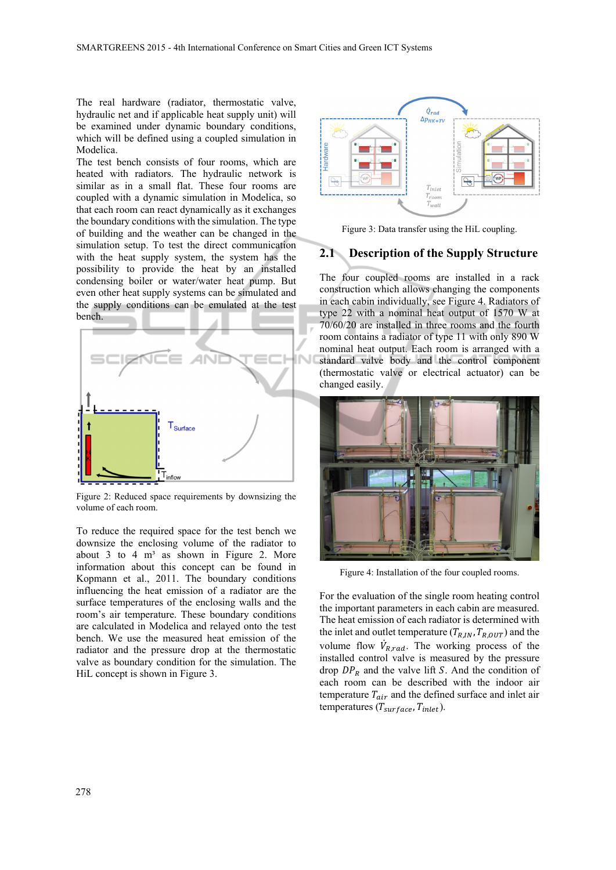The real hardware (radiator, thermostatic valve, hydraulic net and if applicable heat supply unit) will be examined under dynamic boundary conditions, which will be defined using a coupled simulation in Modelica.

The test bench consists of four rooms, which are heated with radiators. The hydraulic network is similar as in a small flat. These four rooms are coupled with a dynamic simulation in Modelica, so that each room can react dynamically as it exchanges the boundary conditions with the simulation. The type of building and the weather can be changed in the simulation setup. To test the direct communication with the heat supply system, the system has the possibility to provide the heat by an installed condensing boiler or water/water heat pump. But even other heat supply systems can be simulated and the supply conditions can be emulated at the test bench.



Figure 2: Reduced space requirements by downsizing the volume of each room.

To reduce the required space for the test bench we downsize the enclosing volume of the radiator to about 3 to 4  $m<sup>3</sup>$  as shown in Figure 2. More information about this concept can be found in Kopmann et al., 2011. The boundary conditions influencing the heat emission of a radiator are the surface temperatures of the enclosing walls and the room's air temperature. These boundary conditions are calculated in Modelica and relayed onto the test bench. We use the measured heat emission of the radiator and the pressure drop at the thermostatic valve as boundary condition for the simulation. The HiL concept is shown in Figure 3.



Figure 3: Data transfer using the HiL coupling.

### **2.1 Description of the Supply Structure**

The four coupled rooms are installed in a rack construction which allows changing the components in each cabin individually, see Figure 4. Radiators of type 22 with a nominal heat output of 1570 W at 70/60/20 are installed in three rooms and the fourth room contains a radiator of type 11 with only 890 W nominal heat output. Each room is arranged with a standard valve body and the control component (thermostatic valve or electrical actuator) can be changed easily.



Figure 4: Installation of the four coupled rooms.

For the evaluation of the single room heating control the important parameters in each cabin are measured. The heat emission of each radiator is determined with the inlet and outlet temperature ( $T_{R,IN}, T_{R,OUT}$ ) and the volume flow  $\dot{V}_{R,rad}$ . The working process of the installed control valve is measured by the pressure drop  $DP_R$  and the valve lift S. And the condition of each room can be described with the indoor air temperature  $T_{air}$  and the defined surface and inlet air temperatures  $(T_{surface}, T_{inlet})$ .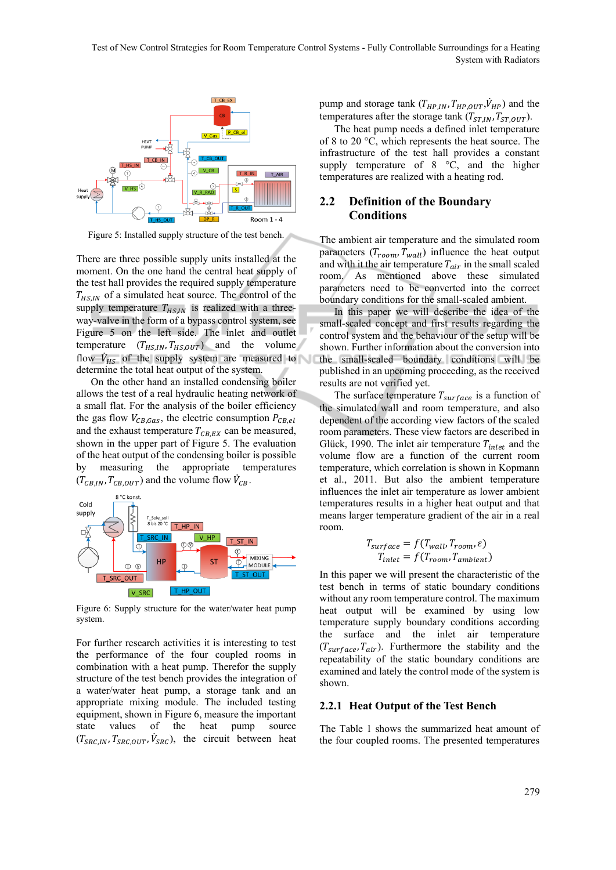Test of New Control Strategies for Room Temperature Control Systems - Fully Controllable Surroundings for a Heating System with Radiators



Figure 5: Installed supply structure of the test bench.

There are three possible supply units installed at the moment. On the one hand the central heat supply of the test hall provides the required supply temperature  $T_{HS,IN}$  of a simulated heat source. The control of the supply temperature  $T_{HS,IN}$  is realized with a threeway-valve in the form of a bypass control system, see Figure 5 on the left side. The inlet and outlet temperature  $(T_{HS,IN}, T_{HS,OUT})$  and the volume flow  $\dot{V}_{HS}$  of the supply system are measured to determine the total heat output of the system.

On the other hand an installed condensing boiler allows the test of a real hydraulic heating network of a small flat. For the analysis of the boiler efficiency the gas flow  $V_{CB,Gas}$ , the electric consumption  $P_{CB,el}$ and the exhaust temperature  $T_{CB,EX}$  can be measured, shown in the upper part of Figure 5. The evaluation of the heat output of the condensing boiler is possible by measuring the appropriate temperatures  $(T_{CB,IN}, T_{CB,OUT})$  and the volume flow  $\dot{V}_{CB}$ .



Figure 6: Supply structure for the water/water heat pump system.

For further research activities it is interesting to test the performance of the four coupled rooms in combination with a heat pump. Therefor the supply structure of the test bench provides the integration of a water/water heat pump, a storage tank and an appropriate mixing module. The included testing equipment, shown in Figure 6, measure the important state values of the heat pump source  $(T_{SRC,IN}, T_{SRC,OUT}, \dot{V}_{SRC})$ , the circuit between heat

pump and storage tank  $(T_{HP,IN}, T_{HP,OUT}, \dot{V}_{HP})$  and the temperatures after the storage tank  $(T_{ST,IN}, T_{ST,OUT})$ .

The heat pump needs a defined inlet temperature of 8 to 20 °C, which represents the heat source. The infrastructure of the test hall provides a constant supply temperature of 8 °C, and the higher temperatures are realized with a heating rod.

### **2.2 Definition of the Boundary Conditions**

The ambient air temperature and the simulated room parameters  $(T_{room}, T_{wall})$  influence the heat output and with it the air temperature  $T_{air}$  in the small scaled room. As mentioned above these simulated parameters need to be converted into the correct boundary conditions for the small-scaled ambient.

In this paper we will describe the idea of the small-scaled concept and first results regarding the control system and the behaviour of the setup will be shown. Further information about the conversion into the small-scaled boundary conditions will be published in an upcoming proceeding, as the received results are not verified yet.

The surface temperature  $T_{surface}$  is a function of the simulated wall and room temperature, and also dependent of the according view factors of the scaled room parameters. These view factors are described in Glück, 1990. The inlet air temperature  $T_{inlet}$  and the volume flow are a function of the current room temperature, which correlation is shown in Kopmann et al., 2011. But also the ambient temperature influences the inlet air temperature as lower ambient temperatures results in a higher heat output and that means larger temperature gradient of the air in a real room.

$$
T_{surface} = f(T_{wall}, T_{room}, \varepsilon)
$$

$$
T_{inlet} = f(T_{room}, T_{ambient})
$$

In this paper we will present the characteristic of the test bench in terms of static boundary conditions without any room temperature control. The maximum heat output will be examined by using low temperature supply boundary conditions according the surface and the inlet air temperature  $(T_{surface}, T_{air})$ . Furthermore the stability and the repeatability of the static boundary conditions are examined and lately the control mode of the system is shown.

#### **2.2.1 Heat Output of the Test Bench**

The Table 1 shows the summarized heat amount of the four coupled rooms. The presented temperatures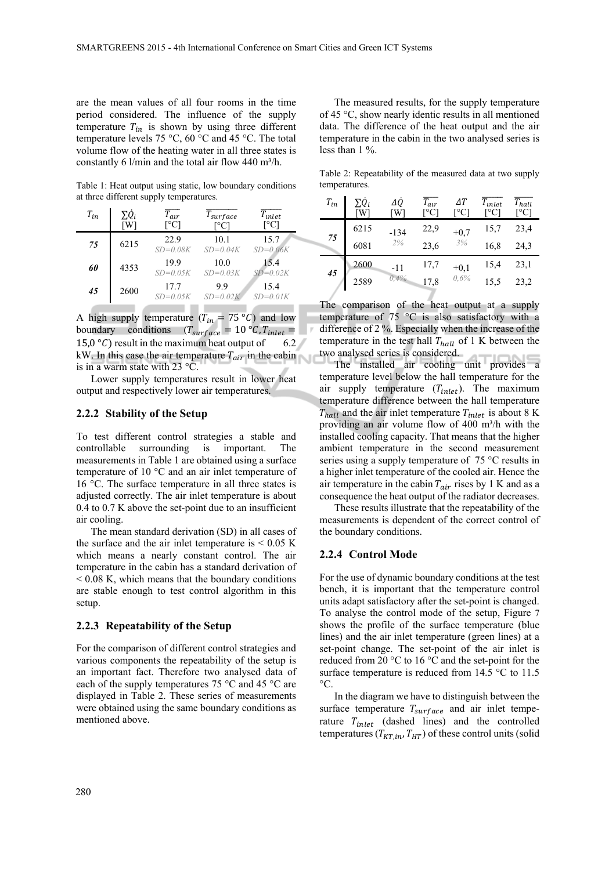are the mean values of all four rooms in the time period considered. The influence of the supply temperature  $T_{in}$  is shown by using three different temperature levels 75 °C, 60 °C and 45 °C. The total volume flow of the heating water in all three states is constantly 6 l/min and the total air flow 440 m<sup>3</sup>/h.

Table 1: Heat output using static, low boundary conditions at three different supply temperatures.

| $T_{in}$ | $\Sigma\dot Q_i$<br>ГW | $T_{air}$<br>[°C]    | $T_{surface}$        | $T_{\mathit{inlet}}$<br>™°Cl |
|----------|------------------------|----------------------|----------------------|------------------------------|
| 75       | 6215                   | 22.9<br>$SD = 0.08K$ | 10.1<br>$SD = 0.04K$ | 15.7<br>$SD=0.06K$           |
| 60       | 4353                   | 199<br>$SD = 0.05K$  | 10.0<br>$SD=0.03K$   | 15.4<br>$SD = 0.02K$         |
| 45       | 2600                   | 17.7<br>$SD = 0.05K$ | 99<br>$SD=0.02K$     | 15.4<br>$SD=0.01K$           |

A high supply temperature  $(T_{in} = 75 \degree C)$  and low boundary conditions  $(T_{surface} = 10 \degree C, T_{inlet} =$ 15,0 °C) result in the maximum heat output of 6.2 kW. In this case the air temperature  $T_{air}$  in the cabin is in a warm state with 23 °C.

\_\_\_\_

Lower supply temperatures result in lower heat output and respectively lower air temperatures.

#### **2.2.2 Stability of the Setup**

To test different control strategies a stable and controllable surrounding is important. The measurements in Table 1 are obtained using a surface temperature of 10 °C and an air inlet temperature of 16 °C. The surface temperature in all three states is adjusted correctly. The air inlet temperature is about 0.4 to 0.7 K above the set-point due to an insufficient air cooling.

The mean standard derivation (SD) in all cases of the surface and the air inlet temperature is  $< 0.05$  K which means a nearly constant control. The air temperature in the cabin has a standard derivation of  $< 0.08$  K, which means that the boundary conditions are stable enough to test control algorithm in this setup.

#### **2.2.3 Repeatability of the Setup**

For the comparison of different control strategies and various components the repeatability of the setup is an important fact. Therefore two analysed data of each of the supply temperatures 75 °C and 45 °C are displayed in Table 2. These series of measurements were obtained using the same boundary conditions as mentioned above.

The measured results, for the supply temperature of 45 °C, show nearly identic results in all mentioned data. The difference of the heat output and the air temperature in the cabin in the two analysed series is less than 1 %.

Table 2: Repeatability of the measured data at two supply temperatures.

| $T_{in}$ | $\Sigma \dot{Q}_i$<br>W <sup>1</sup> | ΔQ<br>W | $\overline{T_{air}}$<br>[°C] | ΔΤ<br>[°C | $\overline{T}_{inlet}$<br>$^{\circ}\mathrm{Cl}$ | $T_{hall}$<br>[°C] |
|----------|--------------------------------------|---------|------------------------------|-----------|-------------------------------------------------|--------------------|
| 75       | 6215                                 | $-134$  | 22,9                         | $+0,7$    | 15,7                                            | 23,4               |
|          | 6081                                 | 2%      | 23,6                         | 3%        | 16,8                                            | 24,3               |
| 45       | 2600                                 | $-11$   | 17,7                         | $+0,1$    | 15,4                                            | 23,1               |
|          | 2589                                 | 0,4%    | 17,8                         | 0,6%      | 15,5                                            | 23,2               |

The comparison of the heat output at a supply temperature of 75 °C is also satisfactory with a difference of 2 %. Especially when the increase of the temperature in the test hall  $T_{hall}$  of 1 K between the two analysed series is considered.

The installed air cooling unit provides a temperature level below the hall temperature for the air supply temperature  $(T_{inlet})$ . The maximum temperature difference between the hall temperature  $T_{hall}$  and the air inlet temperature  $T_{inlet}$  is about 8 K providing an air volume flow of  $400 \text{ m}^3/\text{h}$  with the installed cooling capacity. That means that the higher ambient temperature in the second measurement series using a supply temperature of 75 °C results in a higher inlet temperature of the cooled air. Hence the air temperature in the cabin  $T_{air}$  rises by 1 K and as a consequence the heat output of the radiator decreases.

These results illustrate that the repeatability of the measurements is dependent of the correct control of the boundary conditions.

#### **2.2.4 Control Mode**

For the use of dynamic boundary conditions at the test bench, it is important that the temperature control units adapt satisfactory after the set-point is changed. To analyse the control mode of the setup, Figure 7 shows the profile of the surface temperature (blue lines) and the air inlet temperature (green lines) at a set-point change. The set-point of the air inlet is reduced from 20 °C to 16 °C and the set-point for the surface temperature is reduced from 14.5 °C to 11.5  $^{\circ}C$ 

In the diagram we have to distinguish between the surface temperature  $T_{surface}$  and air inlet temperature  $T_{inlet}$  (dashed lines) and the controlled temperatures ( $T_{KT,in}$ ,  $T_{HT}$ ) of these control units (solid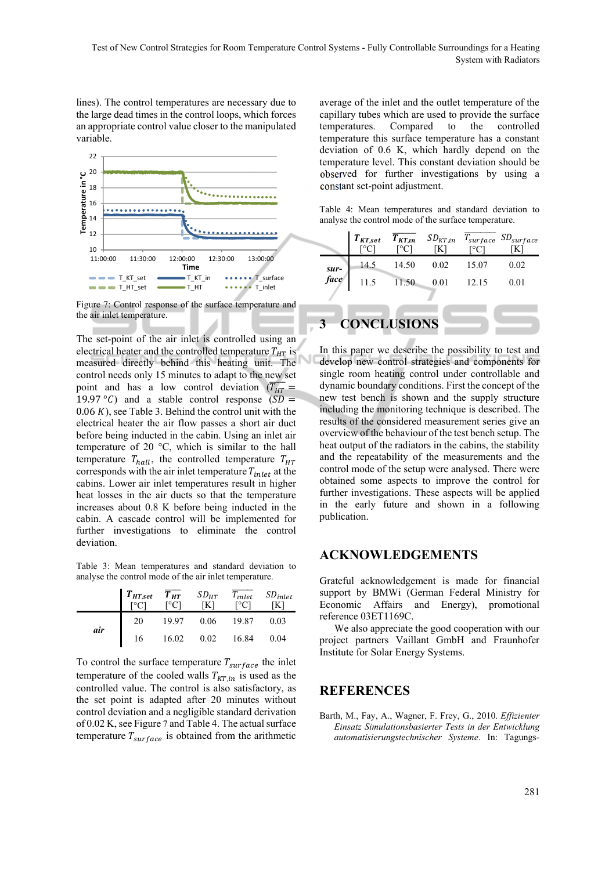lines). The control temperatures are necessary due to the large dead times in the control loops, which forces an appropriate control value closer to the manipulated variable.



Figure 7: Control response of the surface temperature and the air inlet temperature.

The set-point of the air inlet is controlled using an electrical heater and the controlled temperature  $T_{HT}$  is measured directly behind this heating unit. The control needs only 15 minutes to adapt to the new set point and has a low control deviation  $(\overline{T_{HT}})$ 19.97 °C) and a stable control response  $(SD =$  $0.06 K$ , see Table 3. Behind the control unit with the electrical heater the air flow passes a short air duct before being inducted in the cabin. Using an inlet air temperature of 20 °C, which is similar to the hall temperature  $T_{hall}$ , the controlled temperature  $T_{HT}$ corresponds with the air inlet temperature  $T_{inlet}$  at the cabins. Lower air inlet temperatures result in higher heat losses in the air ducts so that the temperature increases about 0.8 K before being inducted in the cabin. A cascade control will be implemented for further investigations to eliminate the control deviation.

Table 3: Mean temperatures and standard deviation to analyse the control mode of the air inlet temperature.

|     | $T_{HT,set}$ $T_{HT}$<br>$T_{\text{eCl}}$ $T_{\text{eCl}}$ |       | $SD_{HT}$ | $T_{inlet}$ | $SD_{inlet}$ |
|-----|------------------------------------------------------------|-------|-----------|-------------|--------------|
|     | 20                                                         | 19.97 | 0.06      | 19.87       | 0.03         |
| air | 16                                                         | 16.02 | 0.02      | 16.84       | 0.04         |

To control the surface temperature  $T_{surface}$  the inlet temperature of the cooled walls  $T_{KT,in}$  is used as the controlled value. The control is also satisfactory, as the set point is adapted after 20 minutes without control deviation and a negligible standard derivation of 0.02 K, see Figure 7 and Table 4. The actual surface temperature  $T_{surface}$  is obtained from the arithmetic

average of the inlet and the outlet temperature of the capillary tubes which are used to provide the surface temperatures. Compared to the controlled temperature this surface temperature has a constant deviation of 0.6 K, which hardly depend on the temperature level. This constant deviation should be observed for further investigations by using a constant set-point adjustment.

Table 4: Mean temperatures and standard deviation to analyse the control mode of the surface temperature.

|                                      | $T_{KT,set}$ | $T_{KT,in}$<br>[°C] | $SD_{KT,in}$<br>[K] |       | $T_{surface}$ $SD_{surface}$ |  |
|--------------------------------------|--------------|---------------------|---------------------|-------|------------------------------|--|
|                                      | 14.5         | 14.50               | 0.02                | 15.07 | 0.02                         |  |
| sur-<br>face                         | 11.5         | 11.50               | 0.01                | 12.15 | 0.01                         |  |
|                                      |              |                     |                     |       |                              |  |
| <b>CONCLUSIONS</b><br>3 <sup>1</sup> |              |                     |                     |       |                              |  |

In this paper we describe the possibility to test and develop new control strategies and components for single room heating control under controllable and dynamic boundary conditions. First the concept of the new test bench is shown and the supply structure including the monitoring technique is described. The results of the considered measurement series give an overview of the behaviour of the test bench setup. The heat output of the radiators in the cabins, the stability and the repeatability of the measurements and the control mode of the setup were analysed. There were obtained some aspects to improve the control for further investigations. These aspects will be applied in the early future and shown in a following publication.

### **ACKNOWLEDGEMENTS**

Grateful acknowledgement is made for financial support by BMWi (German Federal Ministry for Economic Affairs and Energy), promotional reference 03ET1169C.

We also appreciate the good cooperation with our project partners Vaillant GmbH and Fraunhofer Institute for Solar Energy Systems.

#### **REFERENCES**

Barth, M., Fay, A., Wagner, F. Frey, G., 2010. *Effizienter Einsatz Simulationsbasierter Tests in der Entwicklung automatisierungstechnischer Systeme*. In: Tagungs